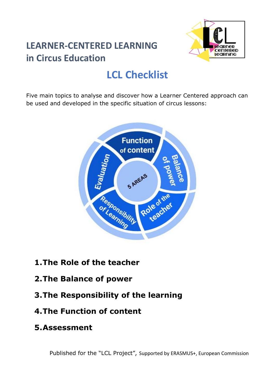## **LEARNER-CENTERED LEARNING in Circus Education**



# **LCL Checklist**

Five main topics to analyse and discover how a Learner Centered approach can be used and developed in the specific situation of circus lessons:



- **1.The Role of the teacher**
- **2.The Balance of power**
- **3.The Responsibility of the learning**
- **4.The Function of content**
- **5.Assessment**

Published for the "LCL Project", Supported by ERASMUS+, European Commission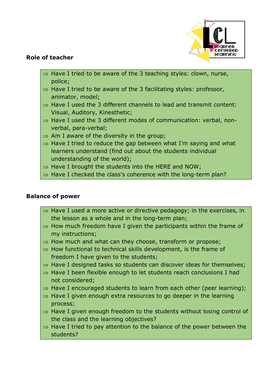

#### **Role of teacher**

- $\Rightarrow$  Have I tried to be aware of the 3 teaching styles: clown, nurse, police;
- $\Rightarrow$  Have I tried to be aware of the 3 facilitating styles: professor, animator, model;
- $\Rightarrow$  Have I used the 3 different channels to lead and transmit content: Visual, Auditory, Kinesthetic;
- $\Rightarrow$  Have I used the 3 different modes of communication: verbal, nonverbal, para-verbal;
- $\Rightarrow$  Am I aware of the diversity in the group;
- $\Rightarrow$  Have I tried to reduce the gap between what I'm saying and what learners understand (find out about the students individual understanding of the world);
- $\Rightarrow$  Have I brought the students into the HERE and NOW;
- $\Rightarrow$  Have I checked the class's coherence with the long-term plan?

#### **Balance of power**

- $\Rightarrow$  Have I used a more active or directive pedagogy; in the exercises, in the lesson as a whole and in the long-term plan;
- $\Rightarrow$  How much freedom have I given the participants within the frame of my instructions;
- $\Rightarrow$  How much and what can they choose, transform or propose;
- $\Rightarrow$  How functional to technical skills development, is the frame of freedom I have given to the students;
- $\Rightarrow$  Have I designed tasks so students can discover ideas for themselves;
- $\Rightarrow$  Have I been flexible enough to let students reach conclusions I had not considered;
- $\Rightarrow$  Have I encouraged students to learn from each other (peer learning);
- $\Rightarrow$  Have I given enough extra resources to go deeper in the learning process;
- $\Rightarrow$  Have I given enough freedom to the students without losing control of the class and the learning objectives?
- $\Rightarrow$  Have I tried to pay attention to the balance of the power between the students?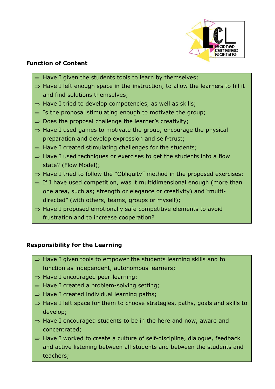

#### **Function of Content**

- $\Rightarrow$  Have I given the students tools to learn by themselves;
- $\Rightarrow$  Have I left enough space in the instruction, to allow the learners to fill it and find solutions themselves;
- $\Rightarrow$  Have I tried to develop competencies, as well as skills;
- $\Rightarrow$  Is the proposal stimulating enough to motivate the group;
- $\Rightarrow$  Does the proposal challenge the learner's creativity;
- $\Rightarrow$  Have I used games to motivate the group, encourage the physical preparation and develop expression and self-trust;
- $\Rightarrow$  Have I created stimulating challenges for the students;
- $\Rightarrow$  Have I used techniques or exercises to get the students into a flow state? (Flow Model);
- $\Rightarrow$  Have I tried to follow the "Obliquity" method in the proposed exercises;
- $\Rightarrow$  If I have used competition, was it multidimensional enough (more than one area, such as; strength or elegance or creativity) and "multidirected" (with others, teams, groups or myself);
- $\Rightarrow$  Have I proposed emotionally safe competitive elements to avoid frustration and to increase cooperation?

### **Responsibility for the Learning**

- $\Rightarrow$  Have I given tools to empower the students learning skills and to function as independent, autonomous learners;
- $\Rightarrow$  Have I encouraged peer-learning;
- $\Rightarrow$  Have I created a problem-solving setting;
- $\Rightarrow$  Have I created individual learning paths;
- $\Rightarrow$  Have I left space for them to choose strategies, paths, goals and skills to develop;
- $\Rightarrow$  Have I encouraged students to be in the here and now, aware and concentrated;
- $\Rightarrow$  Have I worked to create a culture of self-discipline, dialogue, feedback and active listening between all students and between the students and teachers;